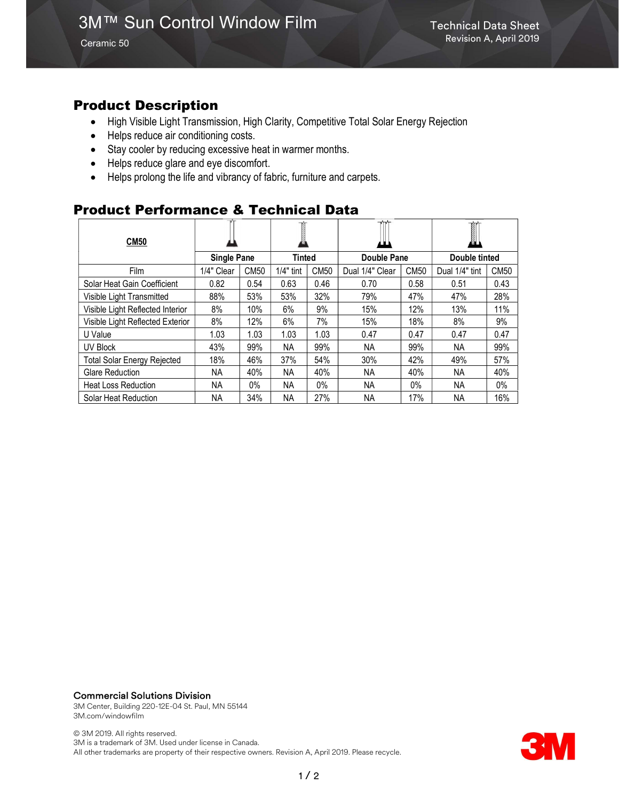Ceramic 50

### Product Description

- High Visible Light Transmission, High Clarity, Competitive Total Solar Energy Rejection
- Helps reduce air conditioning costs.
- Stay cooler by reducing excessive heat in warmer months.
- Helps reduce glare and eye discomfort.
- Helps prolong the life and vibrancy of fabric, furniture and carpets.

### Product Performance & Technical Data

| <b>CM50</b>                        |                    |             |             |             | ш               |             | Ĩ<br>KAL)      |             |
|------------------------------------|--------------------|-------------|-------------|-------------|-----------------|-------------|----------------|-------------|
|                                    | <b>Single Pane</b> |             | Tinted      |             | Double Pane     |             | Double tinted  |             |
| Film                               | 1/4" Clear         | <b>CM50</b> | $1/4"$ tint | <b>CM50</b> | Dual 1/4" Clear | <b>CM50</b> | Dual 1/4" tint | <b>CM50</b> |
| Solar Heat Gain Coefficient        | 0.82               | 0.54        | 0.63        | 0.46        | 0.70            | 0.58        | 0.51           | 0.43        |
| Visible Light Transmitted          | 88%                | 53%         | 53%         | 32%         | 79%             | 47%         | 47%            | 28%         |
| Visible Light Reflected Interior   | 8%                 | 10%         | 6%          | 9%          | 15%             | 12%         | 13%            | 11%         |
| Visible Light Reflected Exterior   | 8%                 | 12%         | 6%          | 7%          | 15%             | 18%         | 8%             | 9%          |
| U Value                            | 1.03               | 1.03        | 1.03        | 1.03        | 0.47            | 0.47        | 0.47           | 0.47        |
| UV Block                           | 43%                | 99%         | ΝA          | 99%         | NA.             | 99%         | NA             | 99%         |
| <b>Total Solar Energy Rejected</b> | 18%                | 46%         | 37%         | 54%         | 30%             | 42%         | 49%            | 57%         |
| <b>Glare Reduction</b>             | NA.                | 40%         | ΝA          | 40%         | NA.             | 40%         | NA.            | 40%         |
| <b>Heat Loss Reduction</b>         | NA.                | $0\%$       | <b>NA</b>   | $0\%$       | <b>NA</b>       | $0\%$       | NA.            | $0\%$       |
| Solar Heat Reduction               | ΝA                 | 34%         | <b>NA</b>   | 27%         | NA.             | 17%         | NА             | 16%         |

Commercial Solutions Division

3M Center, Building 220-12E-04 St. Paul, MN 55144 3M.com/windowfilm

© 3M 2019. All rights reserved. 3M is a trademark of 3M. Used under license in Canada. All other trademarks are property of their respective owners. Revision A, April 2019. Please recycle.